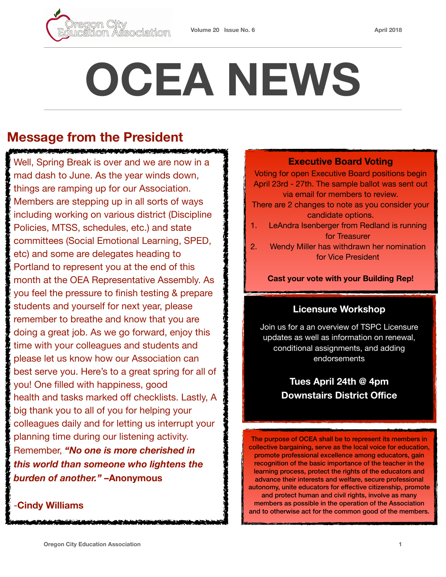

# **OCEA NEWS**

## **Message from the President**

<u> Karajerana matamatan ing Kabupatèn Malampu</u> Well, Spring Break is over and we are now in a mad dash to June. As the year winds down, things are ramping up for our Association. Members are stepping up in all sorts of ways including working on various district (Discipline Policies, MTSS, schedules, etc.) and state committees (Social Emotional Learning, SPED, etc) and some are delegates heading to Portland to represent you at the end of this month at the OEA Representative Assembly. As you feel the pressure to finish testing & prepare students and yourself for next year, please remember to breathe and know that you are doing a great job. As we go forward, enjoy this time with your colleagues and students and please let us know how our Association can best serve you. Here's to a great spring for all of you! One filled with happiness, good health and tasks marked off checklists. Lastly, A big thank you to all of you for helping your colleagues daily and for letting us interrupt your planning time during our listening activity. Remember, *"No one is more cherished in this world than someone who lightens the burden of another."* **–Anonymous**

#### -**Cindy Williams**

#### **Executive Board Voting**

Voting for open Executive Board positions begin April 23rd - 27th. The sample ballot was sent out via email for members to review. There are 2 changes to note as you consider your

candidate options.

- 1. LeAndra Isenberger from Redland is running for Treasurer
- 2. Wendy Miller has withdrawn her nomination for Vice President

**Cast your vote with your Building Rep!**

#### **Licensure Workshop**

Join us for a an overview of TSPC Licensure updates as well as information on renewal, conditional assignments, and adding endorsements

> **Tues April 24th @ 4pm Downstairs District Office**

The purpose of OCEA shall be to represent its members in collective bargaining, serve as the local voice for education, promote professional excellence among educators, gain recognition of the basic importance of the teacher in the learning process, protect the rights of the educators and advance their interests and welfare, secure professional autonomy, unite educators for effective citizenship, promote and protect human and civil rights, involve as many members as possible in the operation of the Association and to otherwise act for the common good of the members.